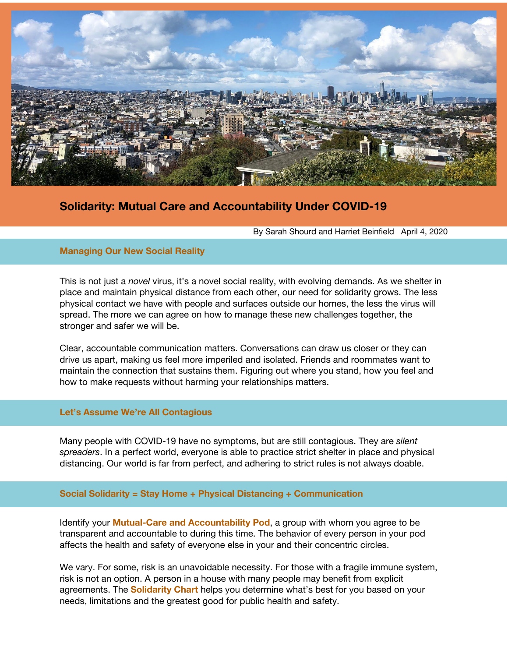

# **Solidarity: Mutual Care and Accountability Under COVID-19**

By Sarah Shourd and Harriet Beinfield April 4, 2020

# **Managing Our New Social Reality**

This is not just a *novel* virus, it's a novel social reality, with evolving demands. As we shelter in place and maintain physical distance from each other, our need for solidarity grows. The less physical contact we have with people and surfaces outside our homes, the less the virus will spread. The more we can agree on how to manage these new challenges together, the stronger and safer we will be.

Clear, accountable communication matters. Conversations can draw us closer or they can drive us apart, making us feel more imperiled and isolated. Friends and roommates want to maintain the connection that sustains them. Figuring out where you stand, how you feel and how to make requests without harming your relationships matters.

# **Let's Assume We're All Contagious**

Many people with COVID-19 have no symptoms, but are still contagious. They are *silent spreaders*. In a perfect world, everyone is able to practice strict shelter in place and physical distancing. Our world is far from perfect, and adhering to strict rules is not always doable.

# **Social Solidarity = Stay Home + Physical Distancing + Communication**

Identify your **Mutual-Care and Accountability Pod**, a group with whom you agree to be transparent and accountable to during this time. The behavior of every person in your pod affects the health and safety of everyone else in your and their concentric circles.

We vary. For some, risk is an unavoidable necessity. For those with a fragile immune system, risk is not an option. A person in a house with many people may benefit from explicit agreements. The **Solidarity Chart** helps you determine what's best for you based on your needs, limitations and the greatest good for public health and safety.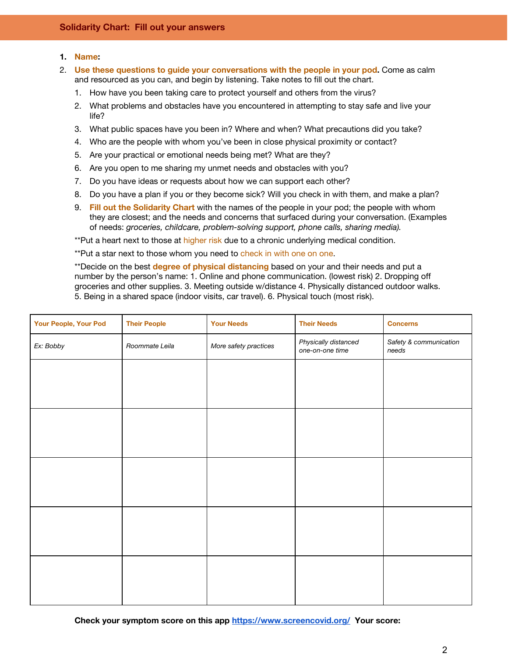# **1. Name:**

- 2. **Use these questions to guide your conversations with the people in your pod.** Come as calm and resourced as you can, and begin by listening. Take notes to fill out the chart.
	- 1. How have you been taking care to protect yourself and others from the virus?
	- 2. What problems and obstacles have you encountered in attempting to stay safe and live your life?
	- 3. What public spaces have you been in? Where and when? What precautions did you take?
	- 4. Who are the people with whom you've been in close physical proximity or contact?
	- 5. Are your practical or emotional needs being met? What are they?
	- 6. Are you open to me sharing my unmet needs and obstacles with you?
	- 7. Do you have ideas or requests about how we can support each other?
	- 8. Do you have a plan if you or they become sick? Will you check in with them, and make a plan?
	- 9. **Fill out the Solidarity Chart** with the names of the people in your pod; the people with whom they are closest; and the needs and concerns that surfaced during your conversation. (Examples of needs: *groceries, childcare, problem-solving support, phone calls, sharing media).*

\*\*Put a heart next to those at higher risk due to a chronic underlying medical condition.

\*\*Put a star next to those whom you need to check in with one on one.

\*\*Decide on the best **degree of physical distancing** based on your and their needs and put a number by the person's name: 1. Online and phone communication. (lowest risk) 2. Dropping off groceries and other supplies. 3. Meeting outside w/distance 4. Physically distanced outdoor walks. 5. Being in a shared space (indoor visits, car travel). 6. Physical touch (most risk).

| Your People, Your Pod | <b>Their People</b> | <b>Your Needs</b>     | <b>Their Needs</b>                      | <b>Concerns</b>                 |
|-----------------------|---------------------|-----------------------|-----------------------------------------|---------------------------------|
| Ex: Bobby             | Roommate Leila      | More safety practices | Physically distanced<br>one-on-one time | Safety & communication<br>needs |
|                       |                     |                       |                                         |                                 |
|                       |                     |                       |                                         |                                 |
|                       |                     |                       |                                         |                                 |
|                       |                     |                       |                                         |                                 |
|                       |                     |                       |                                         |                                 |
|                       |                     |                       |                                         |                                 |
|                       |                     |                       |                                         |                                 |
|                       |                     |                       |                                         |                                 |
|                       |                     |                       |                                         |                                 |
|                       |                     |                       |                                         |                                 |